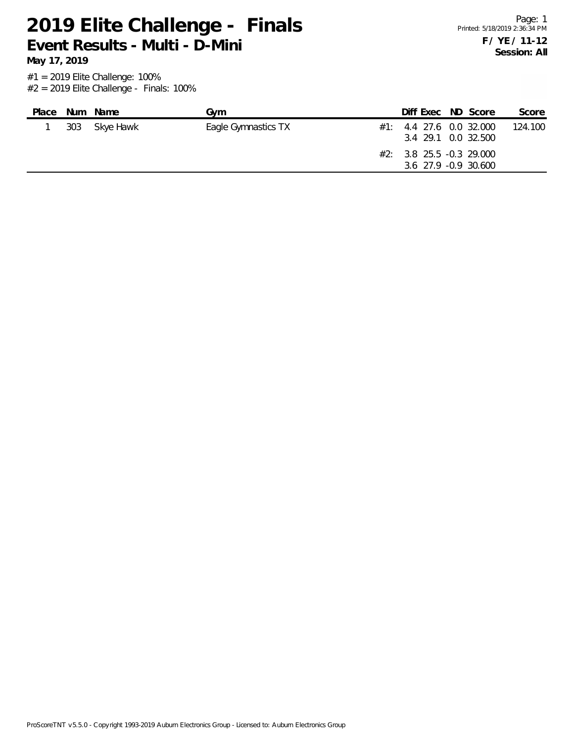**May 17, 2019**

| Place |     | Num Name  | Gvm                 | Diff Exec ND Score                                 |  | Score   |
|-------|-----|-----------|---------------------|----------------------------------------------------|--|---------|
|       | 303 | Skye Hawk | Eagle Gymnastics TX | $\#1$ : 4.4 27.6 0.0 32.000<br>3.4 29.1 0.0 32.500 |  | 124.100 |
|       |     |           |                     | $#2: 3.8$ 25.5 -0.3 29.000<br>3.6 27.9 -0.9 30.600 |  |         |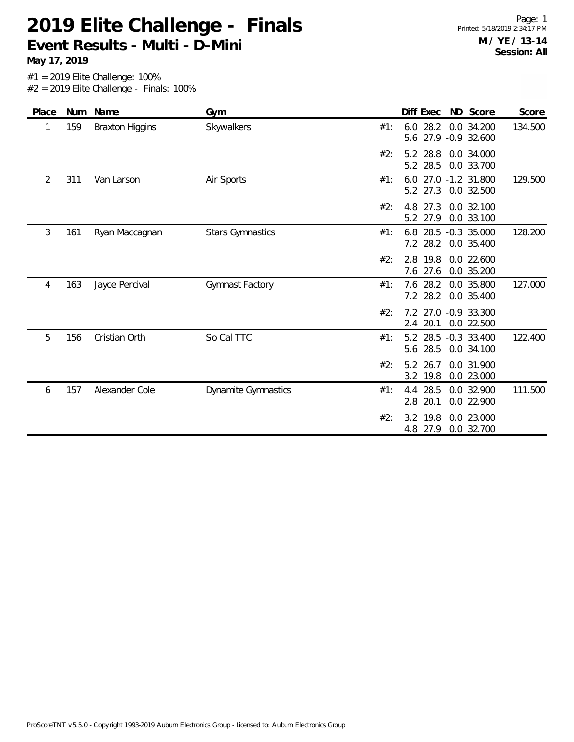**May 17, 2019**

| Place | <b>Num</b> | Name                   | Gym                        | Diff Exec<br>ND Score<br>Score                                        |
|-------|------------|------------------------|----------------------------|-----------------------------------------------------------------------|
| 1     | 159        | <b>Braxton Higgins</b> | Skywalkers                 | $6.0$ 28.2<br>0.0 34.200<br>134.500<br>#1:<br>27.9 -0.9 32.600<br>5.6 |
|       |            |                        |                            | 5.2 28.8<br>#2:<br>0.0 34.000<br>28.5<br>5.2<br>0.0 33.700            |
| 2     | 311        | Van Larson             | Air Sports                 | 129.500<br>6.0 27.0 -1.2 31.800<br>#1:<br>27.3<br>0.0 32.500<br>5.2   |
|       |            |                        |                            | #2:<br>0.0 32.100<br>4.8 27.3<br>5.2 27.9<br>0.0 33.100               |
| 3     | 161        | Ryan Maccagnan         | <b>Stars Gymnastics</b>    | 128.200<br>#1:<br>6.8 28.5 -0.3 35.000<br>28.2<br>0.0 35.400<br>7.2   |
|       |            |                        |                            | #2:<br>2.8 19.8<br>$0.0$ 22.600<br>27.6<br>0.0 35.200<br>7.6          |
| 4     | 163        | Jayce Percival         | Gymnast Factory            | 127.000<br>7.6 28.2<br>0.0 35.800<br>#1:<br>7.2 28.2<br>0.0 35.400    |
|       |            |                        |                            | #2:<br>7.2 27.0 -0.9 33.300<br>2.4 20.1<br>0.0 22.500                 |
| 5     | 156        | <b>Cristian Orth</b>   | So Cal TTC                 | 5.2 28.5 -0.3 33.400<br>122.400<br>#1:<br>5.6 28.5<br>0.0 34.100      |
|       |            |                        |                            | #2:<br>5.2 26.7<br>0.0 31.900<br>3.2 19.8<br>0.0 23.000               |
| 6     | 157        | Alexander Cole         | <b>Dynamite Gymnastics</b> | 111.500<br>4.4 28.5<br>#1:<br>0.0 32.900<br>20.1<br>0.0 22.900<br>2.8 |
|       |            |                        |                            | #2:<br>19.8<br>0.0 23.000<br>3.2<br>27.9<br>0.0 32.700<br>4.8         |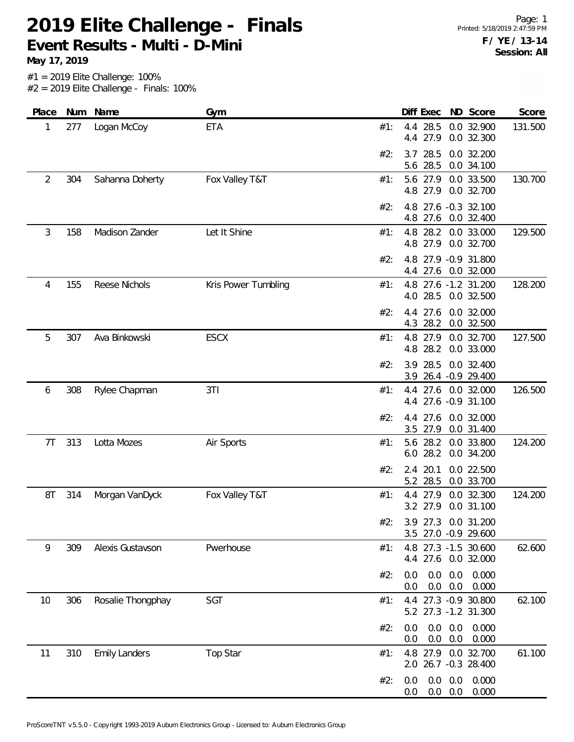**May 17, 2019**

| Place          |     | Num Name             | Gym                 |     | Diff Exec                                    |                                  | ND Score                       | Score   |
|----------------|-----|----------------------|---------------------|-----|----------------------------------------------|----------------------------------|--------------------------------|---------|
| 1              | 277 | Logan McCoy          | <b>ETA</b>          | #1: | 4.4 28.5<br>27.9<br>4.4                      |                                  | 0.0 32.900<br>0.0 32.300       | 131.500 |
|                |     |                      |                     | #2: | 28.5<br>3.7<br>28.5<br>5.6                   |                                  | 0.0 32.200<br>0.0 34.100       |         |
| $\overline{2}$ | 304 | Sahanna Doherty      | Fox Valley T&T      | #1: | 5.6 27.9<br>4.8 27.9                         |                                  | 0.0 33.500<br>0.0 32.700       | 130.700 |
|                |     |                      |                     | #2: | 4.8<br>4.8 27.6                              |                                  | 27.6 -0.3 32.100<br>0.0 32.400 |         |
| 3              | 158 | Madison Zander       | Let It Shine        | #1: | 4.8 28.2<br>4.8 27.9                         |                                  | 0.0 33.000<br>0.0 32.700       | 129.500 |
|                |     |                      |                     | #2: | 4.8<br>4.4 27.6 0.0 32.000                   |                                  | 27.9 - 0.9 31.800              |         |
| 4              | 155 | Reese Nichols        | Kris Power Tumbling | #1: | 4.8 27.6 -1.2 31.200<br>28.5<br>4.0          |                                  | 0.0 32.500                     | 128.200 |
|                |     |                      |                     | #2: | 4.4 27.6<br>4.3<br>28.2                      |                                  | 0.0 32.000<br>0.0 32.500       |         |
| 5              | 307 | Ava Binkowski        | <b>ESCX</b>         | #1: | 4.8 27.9<br>4.8 28.2                         |                                  | 0.0 32.700<br>0.0 33.000       | 127.500 |
|                |     |                      |                     | #2: | 28.5<br>3.9<br>3.9 26.4 -0.9 29.400          |                                  | 0.0 32.400                     |         |
| 6              | 308 | Rylee Chapman        | 3T1                 | #1: | 4.4 27.6 0.0 32.000<br>4.4 27.6 -0.9 31.100  |                                  |                                | 126.500 |
|                |     |                      |                     | #2: | 27.6<br>4.4<br>3.5 27.9                      |                                  | 0.0 32.000<br>0.0 31.400       |         |
| 7T             | 313 | Lotta Mozes          | Air Sports          | #1: | 5.6<br>28.2<br>28.2<br>6.0                   |                                  | 0.0 33.800<br>0.0 34.200       | 124.200 |
|                |     |                      |                     | #2: | 2.4 20.1<br>5.2 28.5                         |                                  | 0.0 22.500<br>0.0 33.700       |         |
| 8T             | 314 | Morgan VanDyck       | Fox Valley T&T      | #1: | 4.4 27.9<br>3.2 27.9                         |                                  | 0.0 32.300<br>0.0 31.100       | 124.200 |
|                |     |                      |                     | #2: | 3.9 27.3 0.0 31.200<br>3.5 27.0 -0.9 29.600  |                                  |                                |         |
| 9              | 309 | Alexis Gustavson     | Pwerhouse           | #1: | 4.8 27.3 -1.5 30.600<br>4.4 27.6 0.0 32.000  |                                  |                                | 62.600  |
|                |     |                      |                     | #2: | 0.0<br>$0.0\,$                               | $0.0\quad 0.0$<br>$0.0\ 0.0$     | 0.000<br>0.000                 |         |
| 10             | 306 | Rosalie Thongphay    | SGT                 | #1: | 4.4 27.3 -0.9 30.800<br>5.2 27.3 -1.2 31.300 |                                  |                                | 62.100  |
|                |     |                      |                     | #2: | 0.0<br>0.0                                   | $0.0\quad 0.0$<br>$0.0\quad 0.0$ | 0.000<br>0.000                 |         |
| 11             | 310 | <b>Emily Landers</b> | Top Star            | #1: | 4.8 27.9 0.0 32.700<br>2.0 26.7 -0.3 28.400  |                                  |                                | 61.100  |
|                |     |                      |                     | #2: | 0.0<br>0.0                                   | $0.0\quad 0.0$<br>$0.0\quad 0.0$ | 0.000<br>0.000                 |         |
|                |     |                      |                     |     |                                              |                                  |                                |         |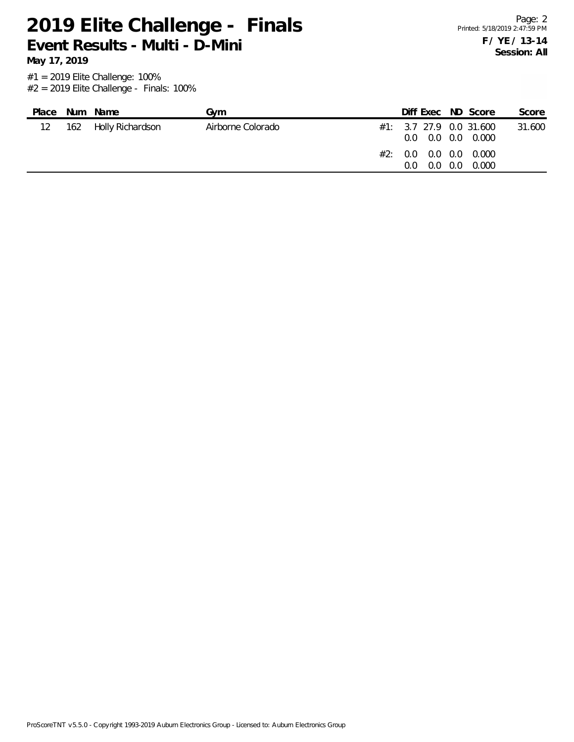Page: 2 Printed: 5/18/2019 2:47:59 PM **F / YE / 13-14 Session: All**

**May 17, 2019**

| Place           | Num Name             | Gvm               | Diff Exec ND Score                                                                                          |       | Score  |
|-----------------|----------------------|-------------------|-------------------------------------------------------------------------------------------------------------|-------|--------|
| 12 <sup>2</sup> | 162 Holly Richardson | Airborne Colorado | $\#1$ : 3.7 27.9 0.0 31.600<br>$0.0$ $0.0$ $0.0$ $0.000$<br>#2: 0.0 0.0 0.0 0.000<br>$0.0 \quad 0.0$<br>0.O | 0.000 | 31.600 |
|                 |                      |                   |                                                                                                             |       |        |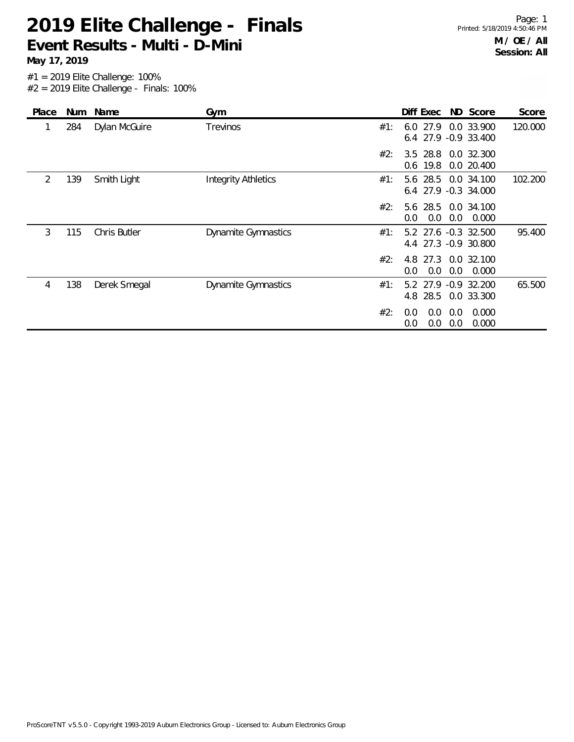**May 17, 2019**

| Place | <b>Num</b> | Name          | Gym                        |     | Diff Exec                                    |            | ND Score            | Score   |
|-------|------------|---------------|----------------------------|-----|----------------------------------------------|------------|---------------------|---------|
|       | 284        | Dylan McGuire | Trevinos                   | #1: | $6.0$ 27.9<br>6.4 27.9 -0.9 33.400           |            | 0.0 33.900          | 120.000 |
|       |            |               |                            | #2: | 3.5 28.8 0.0 32.300<br>$0.6$ 19.8            |            | 0.0 20.400          |         |
| 2     | 139        | Smith Light   | <b>Integrity Athletics</b> | #1: | 5.6 28.5 0.0 34.100<br>6.4 27.9 -0.3 34.000  |            |                     | 102.200 |
|       |            |               |                            | #2: | 5.6 28.5<br>0.0<br>0.0                       | 0.0        | 0.0 34.100<br>0.000 |         |
| 3     | 115        | Chris Butler  | <b>Dynamite Gymnastics</b> | #1: | 5.2 27.6 -0.3 32.500<br>4.4 27.3 -0.9 30.800 |            |                     | 95.400  |
|       |            |               |                            | #2: | 4.8 27.3 0.0 32.100<br>0.0<br>0.0            | 0.0        | 0.000               |         |
| 4     | 138        | Derek Smegal  | <b>Dynamite Gymnastics</b> | #1: | 5.2 27.9 -0.9 32.200<br>4.8 28.5             |            | 0.0 33.300          | 65.500  |
|       |            |               |                            | #2: | 0.0<br>0.0<br>0.0<br>0.0                     | 0.0<br>0.0 | 0.000<br>0.000      |         |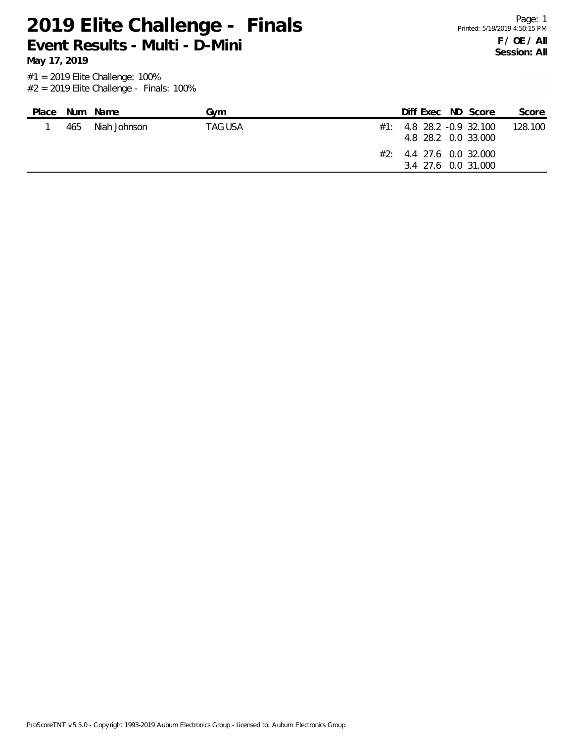**May 17, 2019**

| Place |     | Num Name     | Gvm     | Diff Exec ND Score                                  |  | Score   |
|-------|-----|--------------|---------|-----------------------------------------------------|--|---------|
|       | 465 | Niah Johnson | TAG USA | $\#1$ : 4.8 28.2 -0.9 32.100<br>4.8 28.2 0.0 33.000 |  | 128.100 |
|       |     |              |         | $\#2$ : 4.4 27.6 0.0 32.000<br>3.4 27.6 0.0 31.000  |  |         |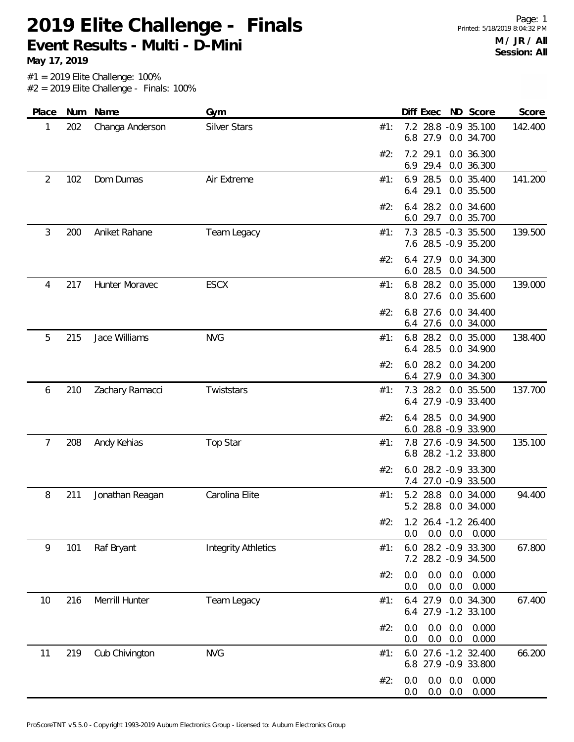**May 17, 2019**

| Place          | Num | Name            | Gym                        |     |            | Diff Exec            |                              | ND Score                                     | Score   |
|----------------|-----|-----------------|----------------------------|-----|------------|----------------------|------------------------------|----------------------------------------------|---------|
| 1              | 202 | Changa Anderson | <b>Silver Stars</b>        | #1: | 6.8        | 27.9                 |                              | 7.2 28.8 -0.9 35.100<br>0.0 34.700           | 142.400 |
|                |     |                 |                            | #2: | 6.9        | 7.2 29.1<br>29.4     |                              | 0.0 36.300<br>0.0 36.300                     |         |
| $\overline{2}$ | 102 | Dom Dumas       | Air Extreme                | #1: | 6.9        | 28.5<br>6.4 29.1     |                              | 0.0 35.400<br>0.0 35.500                     | 141.200 |
|                |     |                 |                            | #2: | 6.4<br>6.0 | 28.2<br>29.7         |                              | 0.0 34.600<br>0.0 35.700                     |         |
| 3              | 200 | Aniket Rahane   | Team Legacy                | #1: |            |                      |                              | 7.3 28.5 -0.3 35.500<br>7.6 28.5 -0.9 35.200 | 139.500 |
|                |     |                 |                            | #2: | 6.4<br>6.0 | 27.9<br>28.5         |                              | 0.0 34.300<br>0.0 34.500                     |         |
| 4              | 217 | Hunter Moravec  | <b>ESCX</b>                | #1: | 8.0        | 6.8 28.2<br>27.6     |                              | 0.0 35.000<br>0.0 35.600                     | 139.000 |
|                |     |                 |                            | #2: | 6.4        | 6.8 27.6<br>27.6     |                              | 0.0 34.400<br>0.0 34.000                     |         |
| 5              | 215 | Jace Williams   | <b>NVG</b>                 | #1: |            | 6.8 28.2<br>6.4 28.5 |                              | 0.0 35.000<br>0.0 34.900                     | 138.400 |
|                |     |                 |                            | #2: | 6.0        | 28.2<br>6.4 27.9     |                              | 0.0 34.200<br>0.0 34.300                     |         |
| 6              | 210 | Zachary Ramacci | Twiststars                 | #1: |            |                      |                              | 7.3 28.2 0.0 35.500<br>6.4 27.9 -0.9 33.400  | 137.700 |
|                |     |                 |                            | #2: | 6.4        | 28.5                 |                              | 0.0 34.900<br>6.0 28.8 -0.9 33.900           |         |
| 7              | 208 | Andy Kehias     | Top Star                   | #1: |            |                      |                              | 7.8 27.6 -0.9 34.500<br>6.8 28.2 -1.2 33.800 | 135.100 |
|                |     |                 |                            | #2: | 6.0<br>7.4 |                      |                              | 28.2 - 0.9 33.300<br>27.0 -0.9 33.500        |         |
| 8              | 211 | Jonathan Reagan | Carolina Elite             | #1: |            | 5.2 28.8<br>5.2 28.8 |                              | 0.0 34.000<br>0.0 34.000                     | 94.400  |
|                |     |                 |                            | #2: | 0.0        |                      |                              | 1.2 26.4 -1.2 26.400<br>$0.0$ $0.0$ $0.000$  |         |
| 9              | 101 | Raf Bryant      | <b>Integrity Athletics</b> | #1: |            |                      |                              | 6.0 28.2 -0.9 33.300<br>7.2 28.2 -0.9 34.500 | 67.800  |
|                |     |                 |                            | #2: | 0.0<br>0.0 |                      | $0.0\quad 0.0$<br>$0.0\ 0.0$ | 0.000<br>0.000                               |         |
| 10             | 216 | Merrill Hunter  | Team Legacy                | #1: |            |                      |                              | 6.4 27.9 0.0 34.300<br>6.4 27.9 -1.2 33.100  | 67.400  |
|                |     |                 |                            | #2: | 0.0<br>0.0 |                      | $0.0\ 0.0$<br>$0.0\quad 0.0$ | 0.000<br>0.000                               |         |
| 11             | 219 | Cub Chivington  | <b>NVG</b>                 | #1: |            |                      |                              | 6.0 27.6 -1.2 32.400<br>6.8 27.9 -0.9 33.800 | 66.200  |
|                |     |                 |                            | #2: | 0.0<br>0.0 |                      | $0.0\ 0.0$<br>$0.0\ 0.0$     | 0.000<br>0.000                               |         |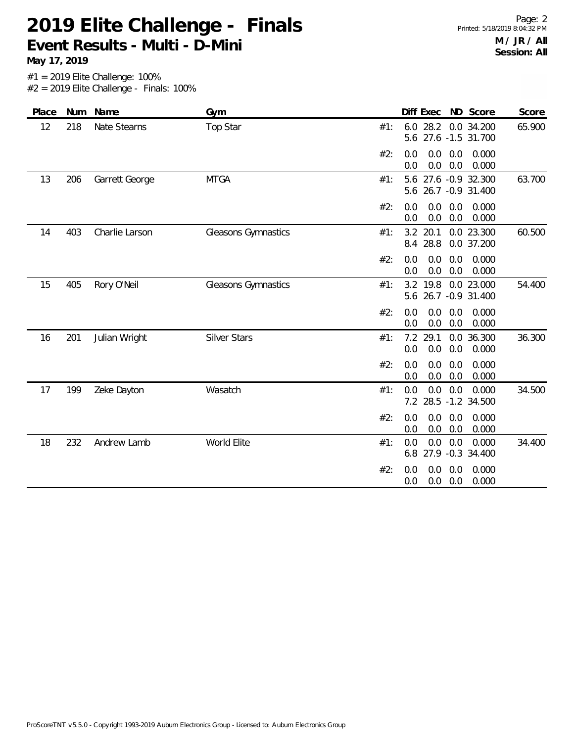**May 17, 2019**

| Place | Num | Name           | Gym                 |     | ND Score<br>Diff Exec                                    | Score  |
|-------|-----|----------------|---------------------|-----|----------------------------------------------------------|--------|
| 12    | 218 | Nate Stearns   | <b>Top Star</b>     | #1: | 28.2 0.0 34.200<br>6.0<br>5.6 27.6 -1.5 31.700           | 65.900 |
|       |     |                |                     | #2: | 0.0<br>0.0<br>0.000<br>0.0<br>0.0<br>0.0<br>0.000<br>0.0 |        |
| 13    | 206 | Garrett George | <b>MTGA</b>         | #1: | 5.6 27.6 -0.9 32.300<br>26.7 - 0.9 31.400<br>5.6         | 63.700 |
|       |     |                |                     | #2: | 0.0<br>0.0<br>0.000<br>0.0<br>0.0<br>0.0<br>0.000<br>0.0 |        |
| 14    | 403 | Charlie Larson | Gleasons Gymnastics | #1: | 3.2 20.1<br>0.0 23.300<br>8.4 28.8<br>0.0 37.200         | 60.500 |
|       |     |                |                     | #2: | 0.0<br>0.0<br>0.000<br>0.0<br>0.0<br>0.0<br>0.000<br>0.0 |        |
| 15    | 405 | Rory O'Neil    | Gleasons Gymnastics | #1: | 3.2 19.8<br>0.0 23.000<br>5.6 26.7 -0.9 31.400           | 54.400 |
|       |     |                |                     | #2: | 0.0<br>0.0<br>0.0<br>0.000<br>0.0<br>0.0<br>0.000<br>0.0 |        |
| 16    | 201 | Julian Wright  | <b>Silver Stars</b> | #1: | 29.1<br>0.0 36.300<br>7.2<br>0.0<br>0.0<br>0.0<br>0.000  | 36.300 |
|       |     |                |                     | #2: | 0.0<br>0.0<br>0.0<br>0.000<br>0.0<br>0.0<br>0.000<br>0.0 |        |
| 17    | 199 | Zeke Dayton    | Wasatch             | #1: | 0.0<br>0.0<br>0.0<br>0.000<br>28.5 -1.2 34.500<br>7.2    | 34.500 |
|       |     |                |                     | #2: | 0.0<br>0.0<br>0.000<br>0.0<br>0.0<br>0.0<br>0.0<br>0.000 |        |
| 18    | 232 | Andrew Lamb    | World Elite         | #1: | 0.0<br>0.0<br>0.000<br>0.0<br>27.9 -0.3 34.400<br>6.8    | 34.400 |
|       |     |                |                     | #2: | 0.0<br>0.000<br>0.0<br>0.0<br>0.0<br>0.0<br>0.000<br>0.0 |        |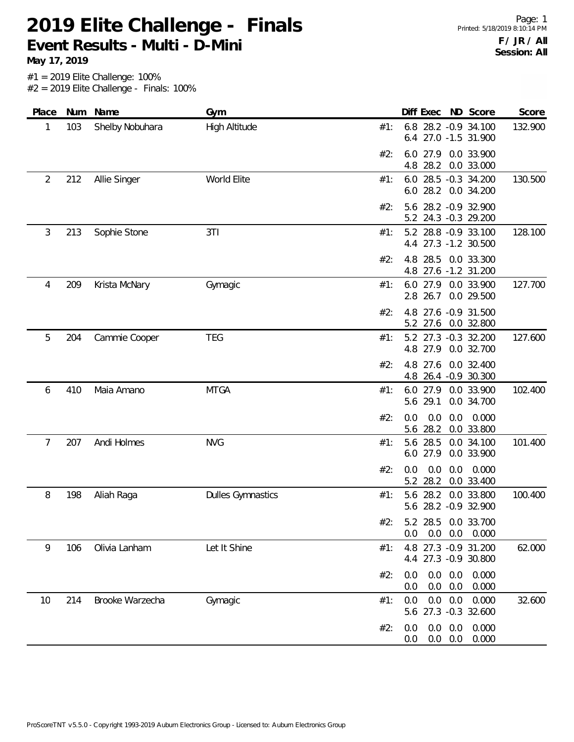| Place          | Num | Name            | Gym                      | Diff Exec ND Score<br>Score                                             |
|----------------|-----|-----------------|--------------------------|-------------------------------------------------------------------------|
| 1              | 103 | Shelby Nobuhara | High Altitude            | 6.8 28.2 -0.9 34.100<br>132.900<br>#1:<br>6.4 27.0 -1.5 31.900          |
|                |     |                 |                          | 6.0 27.9 0.0 33.900<br>#2:<br>4.8<br>28.2 0.0 33.000                    |
| $\overline{2}$ | 212 | Allie Singer    | World Elite              | 28.5 -0.3 34.200<br>130.500<br>6.0<br>#1:<br>6.0 28.2 0.0 34.200        |
|                |     |                 |                          | 5.6 28.2 -0.9 32.900<br>#2:<br>5.2 24.3 -0.3 29.200                     |
| 3              | 213 | Sophie Stone    | 3T1                      | 5.2 28.8 -0.9 33.100<br>128.100<br>#1:<br>4.4 27.3 -1.2 30.500          |
|                |     |                 |                          | 28.5 0.0 33.300<br>#2:<br>4.8<br>4.8 27.6 -1.2 31.200                   |
| 4              | 209 | Krista McNary   | Gymagic                  | 6.0 27.9<br>0.0 33.900<br>127.700<br>#1:<br>2.8 26.7<br>0.0 29.500      |
|                |     |                 |                          | 4.8 27.6 -0.9 31.500<br>#2:<br>27.6 0.0 32.800<br>5.2                   |
| 5              | 204 | Cammie Cooper   | <b>TEG</b>               | 5.2 27.3 -0.3 32.200<br>127.600<br>#1:<br>4.8 27.9 0.0 32.700           |
|                |     |                 |                          | 27.6<br>0.0 32.400<br>#2:<br>4.8<br>4.8 26.4 -0.9 30.300                |
| 6              | 410 | Maia Amano      | <b>MTGA</b>              | 102.400<br>#1:<br>6.0 27.9 0.0 33.900<br>5.6 29.1<br>0.0 34.700         |
|                |     |                 |                          | #2:<br>0.0<br>0.0<br>0.000<br>0.0<br>28.2 0.0 33.800<br>5.6             |
| 7              | 207 | Andi Holmes     | <b>NVG</b>               | 28.5<br>101.400<br>5.6<br>0.0 34.100<br>#1:<br>6.0 27.9<br>0.0 33.900   |
|                |     |                 |                          | 0.0<br>0.0<br>0.000<br>#2:<br>0.0<br>0.0 33.400<br>5.2<br>28.2          |
| 8              | 198 | Aliah Raga      | <b>Dulles Gymnastics</b> | 28.2<br>0.0 33.800<br>100.400<br>#1:<br>5.6<br>5.6 28.2 -0.9 32.900     |
|                |     |                 |                          | #2:<br>5.2 28.5 0.0 33.700<br>$0.0$ $0.0$ $0.0$ $0.000$                 |
| 9              | 106 | Olivia Lanham   | Let It Shine             | 4.8 27.3 -0.9 31.200<br>#1:<br>62.000<br>4.4 27.3 -0.9 30.800           |
|                |     |                 |                          | #2:<br>0.0<br>$0.0\quad 0.0$<br>0.000<br>$0.0\quad 0.0$<br>0.000<br>0.0 |
| 10             | 214 | Brooke Warzecha | Gymagic                  | $0.0\quad 0.0$<br>0.000<br>32.600<br>#1:<br>0.0<br>5.6 27.3 -0.3 32.600 |
|                |     |                 |                          | 0.000<br>#2:<br>0.0<br>$0.0\ 0.0$<br>$0.0\ 0.0$<br>0.000<br>0.0         |
|                |     |                 |                          |                                                                         |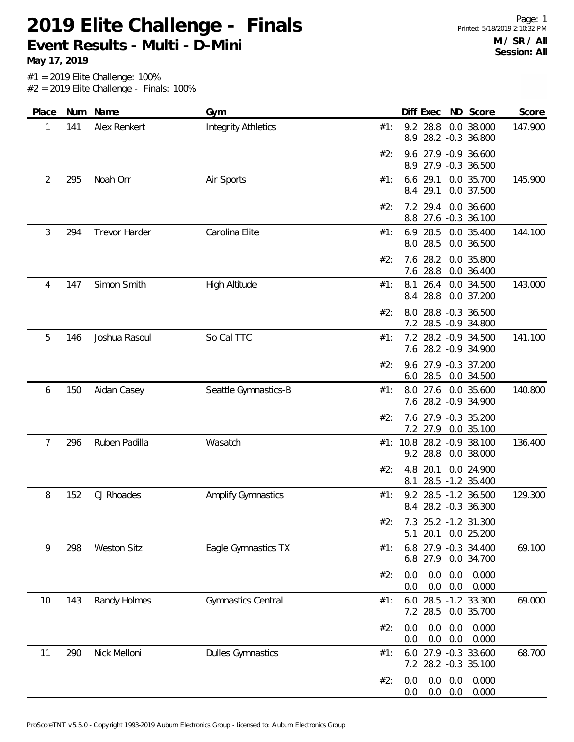**May 17, 2019**

| Place | Num | Name                 | Gym                        |     | Diff Exec                  | ND Score                                     | Score   |
|-------|-----|----------------------|----------------------------|-----|----------------------------|----------------------------------------------|---------|
| 1     | 141 | Alex Renkert         | <b>Integrity Athletics</b> | #1: | 8.9                        | 9.2 28.8 0.0 38.000<br>28.2 -0.3 36.800      | 147.900 |
|       |     |                      |                            | #2: | 9.6                        | 27.9 -0.9 36.600<br>8.9 27.9 -0.3 36.500     |         |
| 2     | 295 | Noah Orr             | Air Sports                 | #1: | 6.6 29.1<br>8.4 29.1       | 0.0 35.700<br>0.0 37.500                     | 145.900 |
|       |     |                      |                            | #2: | 29.4<br>7.2<br>8.8         | 0.0 36.600<br>27.6 -0.3 36.100               |         |
| 3     | 294 | <b>Trevor Harder</b> | Carolina Elite             | #1: | 28.5<br>6.9<br>8.0 28.5    | 0.0 35.400<br>0.0 36.500                     | 144.100 |
|       |     |                      |                            | #2: | 7.6 28.2<br>7.6 28.8       | 0.0 35.800<br>0.0 36.400                     |         |
| 4     | 147 | Simon Smith          | High Altitude              | #1: | 26.4<br>8.1<br>28.8<br>8.4 | 0.0 34.500<br>0.0 37.200                     | 143.000 |
|       |     |                      |                            | #2: |                            | 8.0 28.8 -0.3 36.500<br>7.2 28.5 -0.9 34.800 |         |
| 5     | 146 | Joshua Rasoul        | So Cal TTC                 | #1: |                            | 7.2 28.2 -0.9 34.500<br>7.6 28.2 -0.9 34.900 | 141.100 |
|       |     |                      |                            | #2: |                            | 9.6 27.9 -0.3 37.200<br>6.0 28.5 0.0 34.500  |         |
| 6     | 150 | Aidan Casey          | Seattle Gymnastics-B       | #1: |                            | 8.0 27.6 0.0 35.600<br>7.6 28.2 -0.9 34.900  | 140.800 |
|       |     |                      |                            | #2: |                            | 7.6 27.9 -0.3 35.200<br>7.2 27.9 0.0 35.100  |         |
| 7     | 296 | Ruben Padilla        | Wasatch                    |     | 9.2 28.8                   | #1: 10.8 28.2 -0.9 38.100<br>0.0 38.000      | 136.400 |
|       |     |                      |                            | #2: | 4.8<br>20.1<br>8.1         | 0.0 24.900<br>28.5 -1.2 35.400               |         |
| 8     | 152 | CJ Rhoades           | <b>Amplify Gymnastics</b>  | #1: |                            | 9.2 28.5 -1.2 36.500<br>8.4 28.2 -0.3 36.300 | 129.300 |
|       |     |                      |                            |     | 20.1<br>5.1                | #2: 7.3 25.2 -1.2 31.300<br>0.0 25.200       |         |
| 9     | 298 | <b>Weston Sitz</b>   | Eagle Gymnastics TX        | #1: | 6.8<br>6.8 27.9            | 27.9 -0.3 34.400<br>0.0 34.700               | 69.100  |
|       |     |                      |                            | #2: | 0.0<br>0.0<br>0.0<br>0.0   | 0.0<br>0.000<br>0.0<br>0.000                 |         |
| 10    | 143 | Randy Holmes         | Gymnastics Central         | #1: | 6.0<br>7.2 28.5            | 28.5 -1.2 33.300<br>0.0 35.700               | 69.000  |
|       |     |                      |                            | #2: | 0.0<br>0.0<br>0.0<br>0.0   | 0.0<br>0.000<br>0.0<br>0.000                 |         |
| 11    | 290 | Nick Melloni         | <b>Dulles Gymnastics</b>   | #1: |                            | 6.0 27.9 -0.3 33.600<br>7.2 28.2 -0.3 35.100 | 68.700  |
|       |     |                      |                            | #2: | 0.0<br>0.0<br>0.0          | 0.0<br>0.000<br>$0.0\ 0.0$<br>0.000          |         |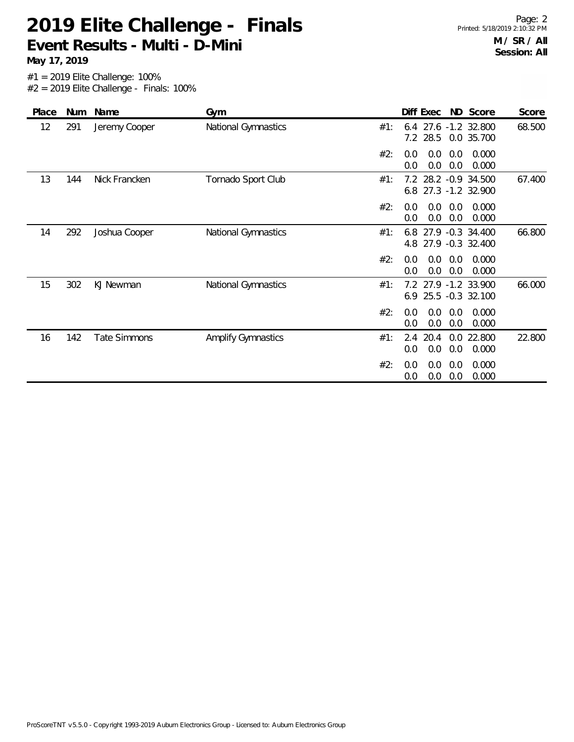#1 = 2019 Elite Challenge: 100% **May 17, 2019**

 $#2 = 2019$  Elite Challenge - Finals: 100%

| Place | Num | Name                | Gym                       | ND Score<br>Diff Exec<br>Score                                           |
|-------|-----|---------------------|---------------------------|--------------------------------------------------------------------------|
| 12    | 291 | Jeremy Cooper       | National Gymnastics       | 27.6 -1.2 32.800<br>68.500<br>#1:<br>6.4<br>28.5<br>7.2<br>0.0 35.700    |
|       |     |                     |                           | #2:<br>0.0<br>0.0<br>0.000<br>0.0<br>0.0<br>0.0<br>0.0<br>0.000          |
| 13    | 144 | Nick Francken       | Tornado Sport Club        | 28.2 -0.9 34.500<br>67.400<br>7.2<br>#1:<br>6.8 27.3 -1.2 32.900         |
|       |     |                     |                           | #2:<br>0.0<br>0.0<br>0.0<br>0.000<br>0.0<br>0.0<br>0.000<br>0.0          |
| 14    | 292 | Joshua Cooper       | National Gymnastics       | 27.9 -0.3 34.400<br>66.800<br>#1:<br>6.8<br>4.8 27.9 -0.3 32.400         |
|       |     |                     |                           | #2:<br>0.0<br>0.000<br>0.0<br>0.0<br>0.0<br>0.0<br>0.0<br>0.000          |
| 15    | 302 | KJ Newman           | National Gymnastics       | 7.2<br>27.9 -1.2 33.900<br>66.000<br>#1:<br>6.9 25.5 -0.3 32.100         |
|       |     |                     |                           | 0.000<br>#2:<br>0.0<br>0.0<br>0.0<br>0.0<br>0.0<br>0.0<br>0.000          |
| 16    | 142 | <b>Tate Simmons</b> | <b>Amplify Gymnastics</b> | 2.4<br>20.4<br>0.0 22.800<br>22.800<br>#1:<br>0.0<br>0.0<br>0.0<br>0.000 |
|       |     |                     |                           | 0.000<br>#2:<br>0.0<br>0.0<br>0.0<br>0.0<br>0.0<br>0.0<br>0.000          |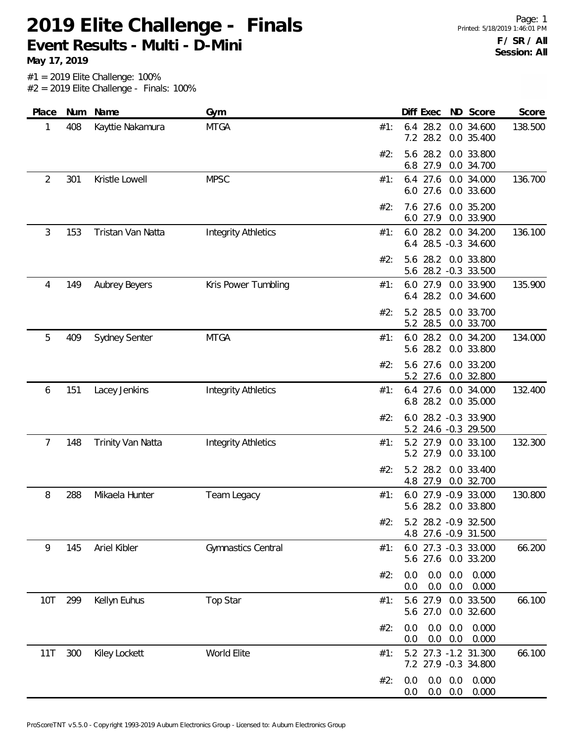**May 17, 2019**

| Place          | Num | Name                 | Gym                        |     | Diff Exec                  | ND Score                                     | Score   |
|----------------|-----|----------------------|----------------------------|-----|----------------------------|----------------------------------------------|---------|
| 1              | 408 | Kayttie Nakamura     | <b>MTGA</b>                | #1: | 6.4 28.2<br>7.2 28.2       | 0.0 34.600<br>0.0 35.400                     | 138.500 |
|                |     |                      |                            | #2: | 5.6<br>28.2<br>27.9<br>6.8 | 0.0 33.800<br>0.0 34.700                     |         |
| $\overline{2}$ | 301 | Kristle Lowell       | <b>MPSC</b>                | #1: | $6.4$ 27.6<br>6.0 27.6     | 0.0 34.000<br>0.0 33.600                     | 136.700 |
|                |     |                      |                            | #2: | 7.6 27.6<br>6.0 27.9       | 0.0 35.200<br>0.0 33.900                     |         |
| $\mathfrak{Z}$ | 153 | Tristan Van Natta    | <b>Integrity Athletics</b> | #1: |                            | 6.0 28.2 0.0 34.200<br>6.4 28.5 -0.3 34.600  | 136.100 |
|                |     |                      |                            | #2: | 28.2<br>5.6                | 0.0 33.800<br>5.6 28.2 -0.3 33.500           |         |
| 4              | 149 | Aubrey Beyers        | Kris Power Tumbling        | #1: | 6.0 27.9<br>28.2<br>6.4    | 0.0 33.900<br>0.0 34.600                     | 135.900 |
|                |     |                      |                            | #2: | 5.2 28.5<br>5.2<br>28.5    | 0.0 33.700<br>0.0 33.700                     |         |
| 5              | 409 | <b>Sydney Senter</b> | <b>MTGA</b>                | #1: | 6.0 28.2<br>5.6 28.2       | 0.0 34.200<br>0.0 33.800                     | 134.000 |
|                |     |                      |                            | #2: | 5.6 27.6<br>5.2 27.6       | 0.0 33.200<br>0.0 32.800                     |         |
| 6              | 151 | Lacey Jenkins        | <b>Integrity Athletics</b> | #1: | 6.8 28.2                   | 6.4 27.6 0.0 34.000<br>0.0 35.000            | 132.400 |
|                |     |                      |                            | #2: |                            | 6.0 28.2 -0.3 33.900<br>5.2 24.6 -0.3 29.500 |         |
| 7              | 148 | Trinity Van Natta    | <b>Integrity Athletics</b> | #1: | 5.2 27.9<br>5.2 27.9       | 0.0 33.100<br>0.0 33.100                     | 132.300 |
|                |     |                      |                            | #2: | 5.2 28.2<br>27.9<br>4.8    | 0.0 33.400<br>0.0 32.700                     |         |
| 8              | 288 | Mikaela Hunter       | Team Legacy                | #1: |                            | 6.0 27.9 -0.9 33.000<br>5.6 28.2 0.0 33.800  | 130.800 |
|                |     |                      |                            | #2: |                            | 5.2 28.2 -0.9 32.500<br>4.8 27.6 -0.9 31.500 |         |
| 9              | 145 | Ariel Kibler         | <b>Gymnastics Central</b>  | #1: |                            | 6.0 27.3 -0.3 33.000<br>5.6 27.6 0.0 33.200  | 66.200  |
|                |     |                      |                            | #2: | 0.0<br>0.0<br>0.0<br>0.0   | 0.0<br>0.000<br>0.0<br>0.000                 |         |
| 10T            | 299 | Kellyn Euhus         | <b>Top Star</b>            | #1: | 5.6 27.0                   | 5.6 27.9 0.0 33.500<br>0.0 32.600            | 66.100  |
|                |     |                      |                            | #2: | 0.0<br>0.0<br>0.0          | 0.0<br>0.000<br>$0.0\quad 0.0$<br>0.000      |         |
| 11T            | 300 | Kiley Lockett        | World Elite                | #1: |                            | 5.2 27.3 -1.2 31.300<br>7.2 27.9 -0.3 34.800 | 66.100  |
|                |     |                      |                            | #2: | 0.0<br>0.0<br>0.0<br>0.0   | 0.0<br>0.000<br>0.0<br>0.000                 |         |